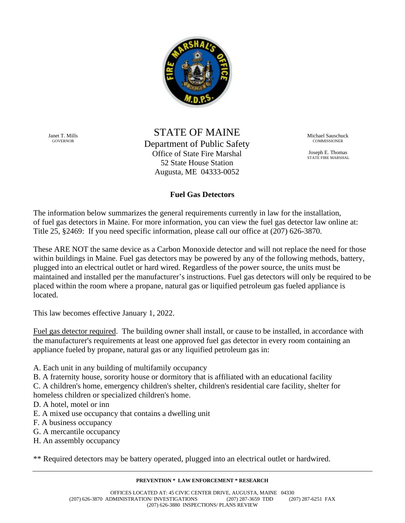

Janet T. Mills GOVERNOR

STATE OF MAINE Department of Public Safety Office of State Fire Marshal 52 State House Station Augusta, ME 04333-0052

Michael Sauschuck **COMMISSIONER** 

Joseph E. Thomas STATE FIRE MARSHAL

## **Fuel Gas Detectors**

The information below summarizes the general requirements currently in law for the installation, of fuel gas detectors in Maine. For more information, you can view the fuel gas detector law online at: Title 25, §2469: If you need specific information, please call our office at (207) 626-3870.

These ARE NOT the same device as a Carbon Monoxide detector and will not replace the need for those within buildings in Maine. Fuel gas detectors may be powered by any of the following methods, battery, plugged into an electrical outlet or hard wired. Regardless of the power source, the units must be maintained and installed per the manufacturer's instructions. Fuel gas detectors will only be required to be placed within the room where a propane, natural gas or liquified petroleum gas fueled appliance is located.

This law becomes effective January 1, 2022.

Fuel gas detector required. The building owner shall install, or cause to be installed, in accordance with the manufacturer's requirements at least one approved fuel gas detector in every room containing an appliance fueled by propane, natural gas or any liquified petroleum gas in:

- A. Each unit in any building of multifamily occupancy
- B. A fraternity house, sorority house or dormitory that is affiliated with an educational facility
- C. A children's home, emergency children's shelter, children's residential care facility, shelter for homeless children or specialized children's home.
- D. A hotel, motel or inn
- E. A mixed use occupancy that contains a dwelling unit
- F. A business occupancy
- G. A mercantile occupancy
- H. An assembly occupancy

\*\* Required detectors may be battery operated, plugged into an electrical outlet or hardwired.

**PREVENTION \* LAW ENFORCEMENT \* RESEARCH**